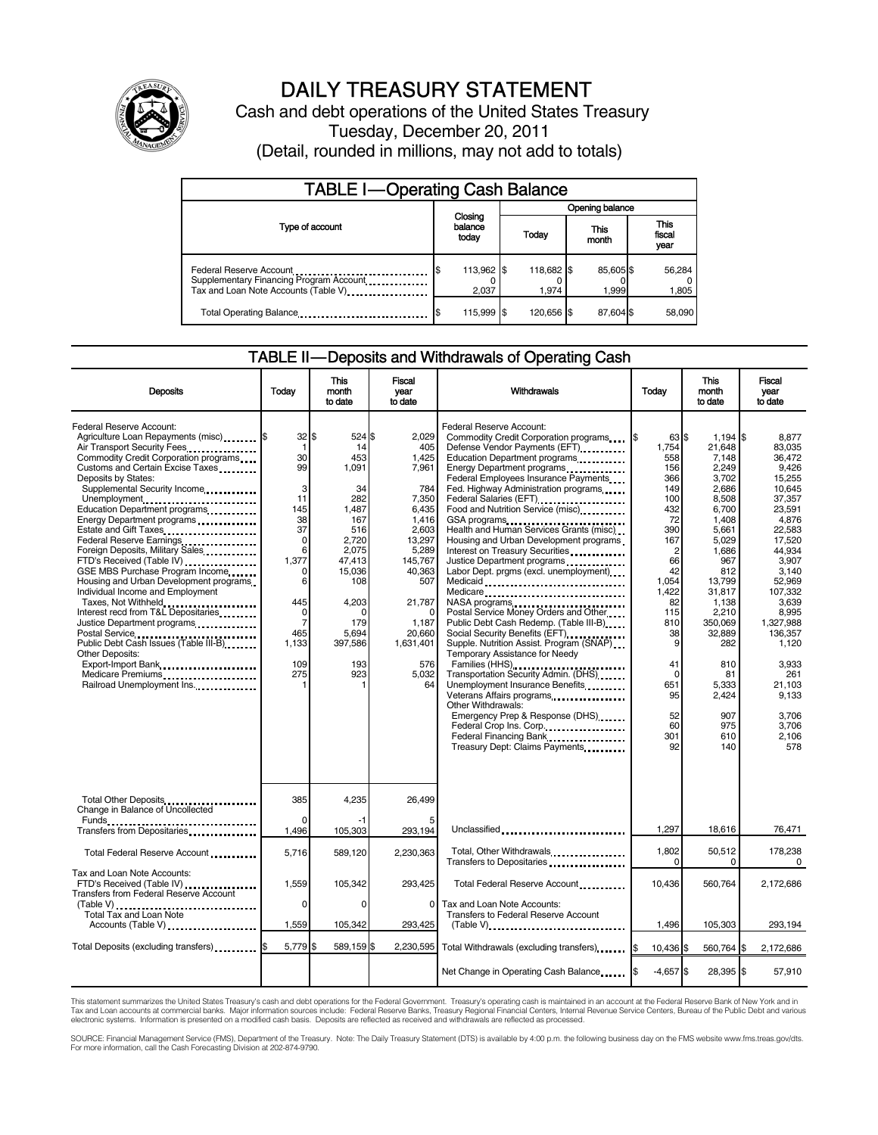

# DAILY TREASURY STATEMENT

Cash and debt operations of the United States Treasury Tuesday, December 20, 2011 (Detail, rounded in millions, may not add to totals)

| <b>TABLE I-Operating Cash Balance</b>                                                                      |                             |                     |                   |                               |  |  |  |
|------------------------------------------------------------------------------------------------------------|-----------------------------|---------------------|-------------------|-------------------------------|--|--|--|
|                                                                                                            |                             | Opening balance     |                   |                               |  |  |  |
| Type of account                                                                                            | Closing<br>balance<br>today | Today               | This<br>month     | <b>This</b><br>fiscal<br>year |  |  |  |
| Federal Reserve Account<br>Supplementary Financing Program Account<br>Tax and Loan Note Accounts (Table V) | 113,962 \$<br>\$<br>2,037   | 118,682 \$<br>1.974 | 85,605\$<br>1,999 | 56,284<br>1,805               |  |  |  |
| Total Operating Balance <b>Constitution</b> Total Operating Balance                                        | 115,999 \$                  | 120,656 \$          | 87,604 \$         | 58,090                        |  |  |  |

#### TABLE II — Deposits and Withdrawals of Operating Cash

| <b>Deposits</b>                                                                                                                                                                                                                                                                                                                                                                                                                                                                                                                                                                                                                                                                                                                                                                                   | Today                                                                                                                                                                                         | <b>This</b><br>month<br>to date                                                                                                                                      | <b>Fiscal</b><br>year<br>to date                                                                                                                                                                     | Withdrawals                                                                                                                                                                                                                                                                                                                                                                                                                                                                                                                                                                                                                                                                                                                                                                                                                                                                                                                                                                                                                                              | Today                                                                                                                                                                                                                  | <b>This</b><br>month<br>to date                                                                                                                                                                                                                           | <b>Fiscal</b><br>vear<br>to date                                                                                                                                                                                                                                                 |  |
|---------------------------------------------------------------------------------------------------------------------------------------------------------------------------------------------------------------------------------------------------------------------------------------------------------------------------------------------------------------------------------------------------------------------------------------------------------------------------------------------------------------------------------------------------------------------------------------------------------------------------------------------------------------------------------------------------------------------------------------------------------------------------------------------------|-----------------------------------------------------------------------------------------------------------------------------------------------------------------------------------------------|----------------------------------------------------------------------------------------------------------------------------------------------------------------------|------------------------------------------------------------------------------------------------------------------------------------------------------------------------------------------------------|----------------------------------------------------------------------------------------------------------------------------------------------------------------------------------------------------------------------------------------------------------------------------------------------------------------------------------------------------------------------------------------------------------------------------------------------------------------------------------------------------------------------------------------------------------------------------------------------------------------------------------------------------------------------------------------------------------------------------------------------------------------------------------------------------------------------------------------------------------------------------------------------------------------------------------------------------------------------------------------------------------------------------------------------------------|------------------------------------------------------------------------------------------------------------------------------------------------------------------------------------------------------------------------|-----------------------------------------------------------------------------------------------------------------------------------------------------------------------------------------------------------------------------------------------------------|----------------------------------------------------------------------------------------------------------------------------------------------------------------------------------------------------------------------------------------------------------------------------------|--|
| Federal Reserve Account:<br>Agriculture Loan Repayments (misc) \$<br>Air Transport Security Fees.<br>Commodity Credit Corporation programs<br>Customs and Certain Excise Taxes<br>Deposits by States:<br>Supplemental Security Income<br>Unemployment<br>Education Department programs<br>Energy Department programs<br>Federal Reserve Earnings<br>Foreign Deposits, Military Sales<br>FTD's Received (Table IV)<br>GSE MBS Purchase Program Income<br>Housing and Urban Development programs<br>Individual Income and Employment<br>Taxes, Not Withheld<br>Interest recd from T&L Depositaries<br>Justice Department programs<br>Postal Service<br>Public Debt Cash Issues (Table III-B)<br><b>Other Deposits:</b><br>Export-Import Bank<br>Medicare Premiums<br><br>Railroad Unemployment Ins. | $32$ $\frac{1}{3}$<br>$\mathbf{1}$<br>30<br>99<br>3<br>11<br>145<br>38<br>37<br>$\Omega$<br>6<br>1,377<br>$\Omega$<br>6<br>445<br>$\mathbf 0$<br>$\overline{7}$<br>465<br>1,133<br>109<br>275 | 524 \$<br>14<br>453<br>1,091<br>34<br>282<br>1.487<br>167<br>516<br>2,720<br>2.075<br>47,413<br>15,036<br>108<br>4,203<br>n<br>179<br>5,694<br>397,586<br>193<br>923 | 2.029<br>405<br>1,425<br>7,961<br>784<br>7,350<br>6.435<br>1,416<br>2.603<br>13,297<br>5,289<br>145,767<br>40,363<br>507<br>21,787<br>$\Omega$<br>1,187<br>20,660<br>1,631,401<br>576<br>5,032<br>64 | Federal Reserve Account:<br>Commodity Credit Corporation programs<br>Defense Vendor Payments (EFT)<br>Education Department programs<br>Energy Department programs<br>Federal Employees Insurance Payments<br>Fed. Highway Administration programs<br>Federal Salaries (EFT)<br>Food and Nutrition Service (misc).<br>GSA programs<br>Health and Human Services Grants (misc)<br>Housing and Urban Development programs<br>Interest on Treasury Securities<br>Justice Department programs<br>Labor Dept. prgms (excl. unemployment)<br>Medicaid<br>Medicare<br>NASA programs<br>Postal Service Money Orders and Other<br>Public Debt Cash Redemp. (Table III-B)<br>Social Security Benefits (EFT)<br>Supple. Nutrition Assist. Program (SNAP)<br>Temporary Assistance for Needy<br>Families (HHS)<br>Transportation Security Admin. (DHS)<br>Unemployment Insurance Benefits<br>Veterans Affairs programs<br>Other Withdrawals:<br>Emergency Prep & Response (DHS)<br>Federal Crop Ins. Corp.<br>Federal Financing Bank<br>Treasury Dept: Claims Payments | 63 \$<br>1,754<br>558<br>156<br>366<br>149<br>100<br>432<br>72<br>390<br>167<br>$\overline{c}$<br>66<br>42<br>1.054<br>1.422<br>82<br>115<br>810<br>38<br>9<br>41<br>$\mathbf 0$<br>651<br>95<br>52<br>60<br>301<br>92 | $1,194$ \$<br>21.648<br>7,148<br>2,249<br>3,702<br>2.686<br>8.508<br>6,700<br>1,408<br>5.661<br>5.029<br>1,686<br>967<br>812<br>13.799<br>31,817<br>1,138<br>2,210<br>350.069<br>32,889<br>282<br>810<br>81<br>5,333<br>2,424<br>907<br>975<br>610<br>140 | 8,877<br>83.035<br>36.472<br>9,426<br>15,255<br>10.645<br>37.357<br>23.591<br>4.876<br>22.583<br>17.520<br>44.934<br>3,907<br>3.140<br>52.969<br>107.332<br>3.639<br>8.995<br>1.327.988<br>136,357<br>1.120<br>3.933<br>261<br>21,103<br>9.133<br>3,706<br>3.706<br>2,106<br>578 |  |
| Total Other Deposits<br>Change in Balance of Uncollected                                                                                                                                                                                                                                                                                                                                                                                                                                                                                                                                                                                                                                                                                                                                          | 385<br>$\Omega$                                                                                                                                                                               | 4,235                                                                                                                                                                | 26,499                                                                                                                                                                                               |                                                                                                                                                                                                                                                                                                                                                                                                                                                                                                                                                                                                                                                                                                                                                                                                                                                                                                                                                                                                                                                          |                                                                                                                                                                                                                        |                                                                                                                                                                                                                                                           |                                                                                                                                                                                                                                                                                  |  |
|                                                                                                                                                                                                                                                                                                                                                                                                                                                                                                                                                                                                                                                                                                                                                                                                   | 1.496                                                                                                                                                                                         | 105,303                                                                                                                                                              | 293,194                                                                                                                                                                                              | Unclassified                                                                                                                                                                                                                                                                                                                                                                                                                                                                                                                                                                                                                                                                                                                                                                                                                                                                                                                                                                                                                                             | 1,297                                                                                                                                                                                                                  | 18,616                                                                                                                                                                                                                                                    | 76,471                                                                                                                                                                                                                                                                           |  |
| Total Federal Reserve Account                                                                                                                                                                                                                                                                                                                                                                                                                                                                                                                                                                                                                                                                                                                                                                     | 5,716                                                                                                                                                                                         | 589,120                                                                                                                                                              | 2,230,363                                                                                                                                                                                            | Total, Other Withdrawals<br>Transfers to Depositaries                                                                                                                                                                                                                                                                                                                                                                                                                                                                                                                                                                                                                                                                                                                                                                                                                                                                                                                                                                                                    | 1,802<br>$\Omega$                                                                                                                                                                                                      | 50,512<br>$\Omega$                                                                                                                                                                                                                                        | 178,238<br>$\Omega$                                                                                                                                                                                                                                                              |  |
| Tax and Loan Note Accounts:<br>FTD's Received (Table IV)<br>Transfers from Federal Reserve Account                                                                                                                                                                                                                                                                                                                                                                                                                                                                                                                                                                                                                                                                                                | 1.559                                                                                                                                                                                         | 105.342                                                                                                                                                              | 293.425                                                                                                                                                                                              | Total Federal Reserve Account                                                                                                                                                                                                                                                                                                                                                                                                                                                                                                                                                                                                                                                                                                                                                                                                                                                                                                                                                                                                                            | 10,436                                                                                                                                                                                                                 | 560.764                                                                                                                                                                                                                                                   | 2.172.686                                                                                                                                                                                                                                                                        |  |
| (Table V)<br>Total Tax and Loan Note<br>Accounts (Table V)                                                                                                                                                                                                                                                                                                                                                                                                                                                                                                                                                                                                                                                                                                                                        | $\Omega$<br>1,559                                                                                                                                                                             | $\Omega$<br>105,342                                                                                                                                                  | $\Omega$<br>293,425                                                                                                                                                                                  | Tax and Loan Note Accounts:<br>Transfers to Federal Reserve Account                                                                                                                                                                                                                                                                                                                                                                                                                                                                                                                                                                                                                                                                                                                                                                                                                                                                                                                                                                                      | 1,496                                                                                                                                                                                                                  | 105,303                                                                                                                                                                                                                                                   | 293,194                                                                                                                                                                                                                                                                          |  |
| Total Deposits (excluding transfers) [\$                                                                                                                                                                                                                                                                                                                                                                                                                                                                                                                                                                                                                                                                                                                                                          | 5,779 \$                                                                                                                                                                                      | 589,159 \$                                                                                                                                                           | 2,230,595                                                                                                                                                                                            | Total Withdrawals (excluding transfers)                                                                                                                                                                                                                                                                                                                                                                                                                                                                                                                                                                                                                                                                                                                                                                                                                                                                                                                                                                                                                  | 10,436 \$                                                                                                                                                                                                              | 560,764 \$                                                                                                                                                                                                                                                | 2,172,686                                                                                                                                                                                                                                                                        |  |
|                                                                                                                                                                                                                                                                                                                                                                                                                                                                                                                                                                                                                                                                                                                                                                                                   |                                                                                                                                                                                               |                                                                                                                                                                      |                                                                                                                                                                                                      | Net Change in Operating Cash Balance                                                                                                                                                                                                                                                                                                                                                                                                                                                                                                                                                                                                                                                                                                                                                                                                                                                                                                                                                                                                                     | $-4,657$ \$                                                                                                                                                                                                            | 28,395 \$                                                                                                                                                                                                                                                 | 57,910                                                                                                                                                                                                                                                                           |  |

This statement summarizes the United States Treasury's cash and debt operations for the Federal Government. Treasury's operating cash is maintained in an account at the Federal Reserve Bank of New York and in<br>Tax and Loan

SOURCE: Financial Management Service (FMS), Department of the Treasury. Note: The Daily Treasury Statement (DTS) is available by 4:00 p.m. the following business day on the FMS website www.fms.treas.gov/dts.<br>For more infor